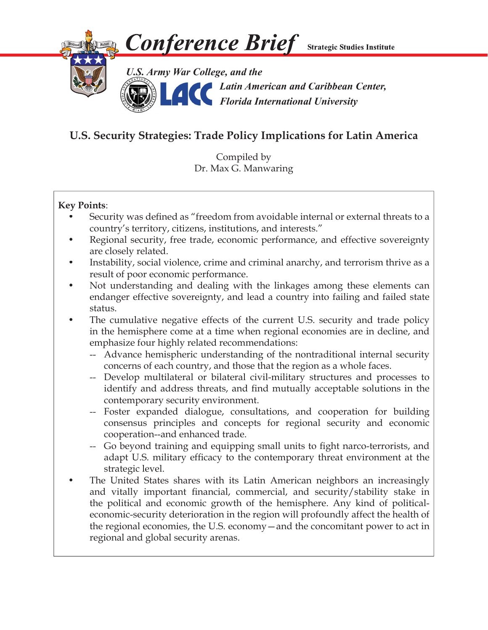

# **U.S. Security Strategies: Trade Policy Implications for Latin America**

Compiled by Dr. Max G. Manwaring

## **Key Points**:

- Security was defined as "freedom from avoidable internal or external threats to a country's territory, citizens, institutions, and interests."
- Regional security, free trade, economic performance, and effective sovereignty are closely related.
- Instability, social violence, crime and criminal anarchy, and terrorism thrive as a result of poor economic performance.
- Not understanding and dealing with the linkages among these elements can endanger effective sovereignty, and lead a country into failing and failed state status.
- The cumulative negative effects of the current U.S. security and trade policy in the hemisphere come at a time when regional economies are in decline, and emphasize four highly related recommendations:
	- -- Advance hemispheric understanding of the nontraditional internal security concerns of each country, and those that the region as a whole faces.
	- -- Develop multilateral or bilateral civil-military structures and processes to identify and address threats, and find mutually acceptable solutions in the contemporary security environment.
	- -- Foster expanded dialogue, consultations, and cooperation for building consensus principles and concepts for regional security and economic cooperation--and enhanced trade.
	- -- Go beyond training and equipping small units to fight narco-terrorists, and adapt U.S. military efficacy to the contemporary threat environment at the strategic level.
- The United States shares with its Latin American neighbors an increasingly and vitally important financial, commercial, and security/stability stake in the political and economic growth of the hemisphere. Any kind of politicaleconomic-security deterioration in the region will profoundly affect the health of the regional economies, the U.S. economy—and the concomitant power to act in regional and global security arenas.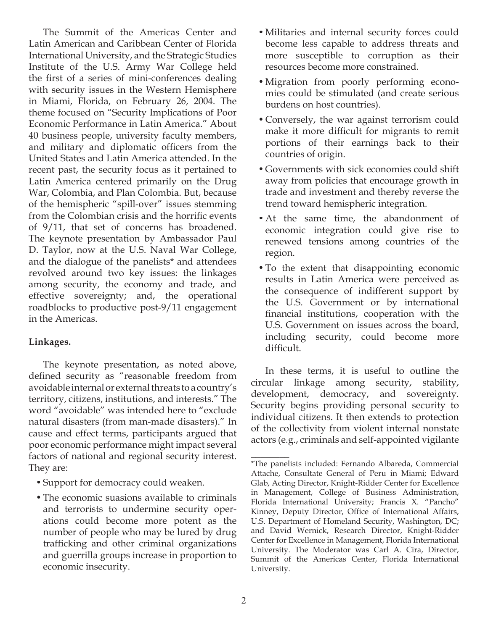The Summit of the Americas Center and Latin American and Caribbean Center of Florida International University, and the Strategic Studies Institute of the U.S. Army War College held the first of a series of mini-conferences dealing with security issues in the Western Hemisphere in Miami, Florida, on February 26, 2004. The theme focused on "Security Implications of Poor Economic Performance in Latin America." About 40 business people, university faculty members, and military and diplomatic officers from the United States and Latin America attended. In the recent past, the security focus as it pertained to Latin America centered primarily on the Drug War, Colombia, and Plan Colombia. But, because of the hemispheric "spill-over" issues stemming from the Colombian crisis and the horrific events of 9/11, that set of concerns has broadened. The keynote presentation by Ambassador Paul D. Taylor, now at the U.S. Naval War College, and the dialogue of the panelists\* and attendees revolved around two key issues: the linkages among security, the economy and trade, and effective sovereignty; and, the operational roadblocks to productive post-9/11 engagement in the Americas.

### **Linkages.**

The keynote presentation, as noted above, defined security as "reasonable freedom from avoidable internal or external threats to a country's territory, citizens, institutions, and interests." The word "avoidable" was intended here to "exclude natural disasters (from man-made disasters)." In cause and effect terms, participants argued that poor economic performance might impact several factors of national and regional security interest. They are:

- •Support for democracy could weaken.
- •The economic suasions available to criminals and terrorists to undermine security operations could become more potent as the number of people who may be lured by drug trafficking and other criminal organizations and guerrilla groups increase in proportion to economic insecurity.
- Militaries and internal security forces could become less capable to address threats and more susceptible to corruption as their resources become more constrained.
- •Migration from poorly performing economies could be stimulated (and create serious burdens on host countries).
- Conversely, the war against terrorism could make it more difficult for migrants to remit portions of their earnings back to their countries of origin.
- •Governments with sick economies could shift away from policies that encourage growth in trade and investment and thereby reverse the trend toward hemispheric integration.
- •At the same time, the abandonment of economic integration could give rise to renewed tensions among countries of the region.
- •To the extent that disappointing economic results in Latin America were perceived as the consequence of indifferent support by the U.S. Government or by international financial institutions, cooperation with the U.S. Government on issues across the board, including security, could become more difficult.

In these terms, it is useful to outline the circular linkage among security, stability, development, democracy, and sovereignty. Security begins providing personal security to individual citizens. It then extends to protection of the collectivity from violent internal nonstate actors (e.g., criminals and self-appointed vigilante

 $\overline{\phantom{a}}$ \*The panelists included: Fernando Albareda, Commercial Attache, Consultate General of Peru in Miami; Edward Glab, Acting Director, Knight-Ridder Center for Excellence in Management, College of Business Administration, Florida International University; Francis X. "Pancho" Kinney, Deputy Director, Office of International Affairs, U.S. Department of Homeland Security, Washington, DC; and David Wernick, Research Director, Knight-Ridder Center for Excellence in Management, Florida International University. The Moderator was Carl A. Cira, Director, Summit of the Americas Center, Florida International University.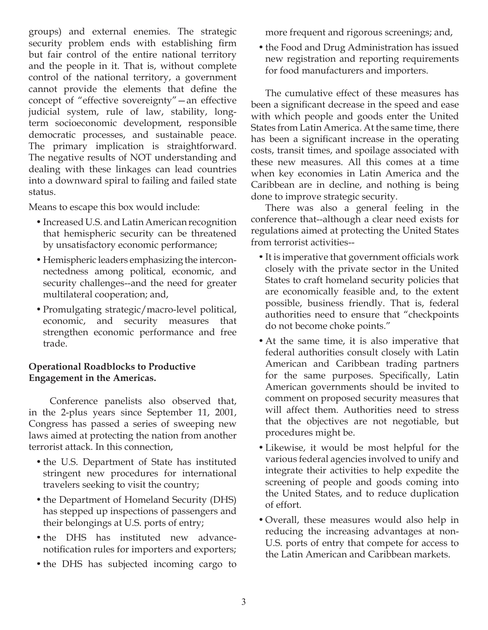groups) and external enemies. The strategic security problem ends with establishing firm but fair control of the entire national territory and the people in it. That is, without complete control of the national territory, a government cannot provide the elements that define the concept of "effective sovereignty"—an effective judicial system, rule of law, stability, longterm socioeconomic development, responsible democratic processes, and sustainable peace. The primary implication is straightforward. The negative results of NOT understanding and dealing with these linkages can lead countries into a downward spiral to failing and failed state status.

Means to escape this box would include:

- •Increased U.S. and Latin American recognition that hemispheric security can be threatened by unsatisfactory economic performance;
- Hemispheric leaders emphasizing the interconnectedness among political, economic, and security challenges--and the need for greater multilateral cooperation; and,
- •Promulgating strategic/macro-level political, economic, and security measures that strengthen economic performance and free trade.

### **Operational Roadblocks to Productive Engagement in the Americas.**

 Conference panelists also observed that, in the 2-plus years since September 11, 2001, Congress has passed a series of sweeping new laws aimed at protecting the nation from another terrorist attack. In this connection,

- the U.S. Department of State has instituted stringent new procedures for international travelers seeking to visit the country;
- the Department of Homeland Security (DHS) has stepped up inspections of passengers and their belongings at U.S. ports of entry;
- •the DHS has instituted new advancenotification rules for importers and exporters;
- the DHS has subjected incoming cargo to

more frequent and rigorous screenings; and,

•the Food and Drug Administration has issued new registration and reporting requirements for food manufacturers and importers.

The cumulative effect of these measures has been a significant decrease in the speed and ease with which people and goods enter the United States from Latin America. At the same time, there has been a significant increase in the operating costs, transit times, and spoilage associated with these new measures. All this comes at a time when key economies in Latin America and the Caribbean are in decline, and nothing is being done to improve strategic security.

There was also a general feeling in the conference that--although a clear need exists for regulations aimed at protecting the United States from terrorist activities--

- It is imperative that government officials work closely with the private sector in the United States to craft homeland security policies that are economically feasible and, to the extent possible, business friendly. That is, federal authorities need to ensure that "checkpoints do not become choke points."
- •At the same time, it is also imperative that federal authorities consult closely with Latin American and Caribbean trading partners for the same purposes. Specifically, Latin American governments should be invited to comment on proposed security measures that will affect them. Authorities need to stress that the objectives are not negotiable, but procedures might be.
- •Likewise, it would be most helpful for the various federal agencies involved to unify and integrate their activities to help expedite the screening of people and goods coming into the United States, and to reduce duplication of effort.
- •Overall, these measures would also help in reducing the increasing advantages at non-U.S. ports of entry that compete for access to the Latin American and Caribbean markets.